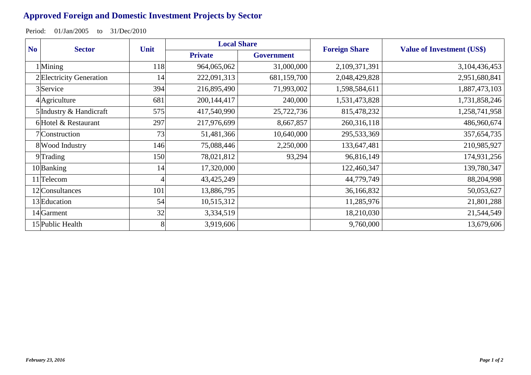## **Approved Foreign and Domestic Investment Projects by Sector**

Period: 01/Jan/2005 to 31/Dec/2010

| N <sub>o</sub><br><b>Sector</b> | Unit | <b>Local Share</b> |                   | <b>Foreign Share</b> | <b>Value of Investment (US\$)</b> |
|---------------------------------|------|--------------------|-------------------|----------------------|-----------------------------------|
|                                 |      | <b>Private</b>     | <b>Government</b> |                      |                                   |
| 1 Mining                        | 118  | 964,065,062        | 31,000,000        | 2,109,371,391        | 3,104,436,453                     |
| 2 Electricity Generation        | 14   | 222,091,313        | 681,159,700       | 2,048,429,828        | 2,951,680,841                     |
| 3Service                        | 394  | 216,895,490        | 71,993,002        | 1,598,584,611        | 1,887,473,103                     |
| 4 Agriculture                   | 681  | 200,144,417        | 240,000           | 1,531,473,828        | 1,731,858,246                     |
| 5 Industry & Handicraft         | 575  | 417,540,990        | 25,722,736        | 815,478,232          | 1,258,741,958                     |
| 6 Hotel & Restaurant            | 297  | 217,976,699        | 8,667,857         | 260,316,118          | 486,960,674                       |
| 7 Construction                  | 73   | 51,481,366         | 10,640,000        | 295,533,369          | 357, 654, 735                     |
| 8 Wood Industry                 | 146  | 75,088,446         | 2,250,000         | 133,647,481          | 210,985,927                       |
| $9$ Trading                     | 150  | 78,021,812         | 93,294            | 96,816,149           | 174,931,256                       |
| 10Banking                       | 14   | 17,320,000         |                   | 122,460,347          | 139,780,347                       |
| 11 <sup>T</sup> elecom          |      | 43,425,249         |                   | 44,779,749           | 88,204,998                        |
| 12 Consultances                 | 101  | 13,886,795         |                   | 36,166,832           | 50,053,627                        |
| 13 Education                    | 54   | 10,515,312         |                   | 11,285,976           | 21,801,288                        |
| 14 <sup></sup> Garment          | 32   | 3,334,519          |                   | 18,210,030           | 21,544,549                        |
| 15 Public Health                | 8    | 3,919,606          |                   | 9,760,000            | 13,679,606                        |